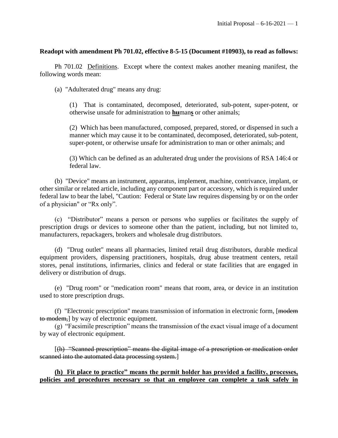### **Readopt with amendment Ph 701.02, effective 8-5-15 (Document #10903), to read as follows:**

Ph 701.02 Definitions. Except where the context makes another meaning manifest, the following words mean:

(a) "Adulterated drug" means any drug:

(1) That is contaminated, decomposed, deteriorated, sub-potent, super-potent, or otherwise unsafe for administration to **hu**man**s** or other animals;

(2) Which has been manufactured, composed, prepared, stored, or dispensed in such a manner which may cause it to be contaminated, decomposed, deteriorated, sub-potent, super-potent, or otherwise unsafe for administration to man or other animals; and

(3) Which can be defined as an adulterated drug under the provisions of RSA 146:4 or federal law.

(b) "Device" means an instrument, apparatus, implement, machine, contrivance, implant, or other similar or related article, including any component part or accessory, which is required under federal law to bear the label, "Caution: Federal or State law requires dispensing by or on the order of a physician" or "Rx only".

(c) "Distributor" means a person or persons who supplies or facilitates the supply of prescription drugs or devices to someone other than the patient, including, but not limited to, manufacturers, repackagers, brokers and wholesale drug distributors.

(d) "Drug outlet" means all pharmacies, limited retail drug distributors, durable medical equipment providers, dispensing practitioners, hospitals, drug abuse treatment centers, retail stores, penal institutions, infirmaries, clinics and federal or state facilities that are engaged in delivery or distribution of drugs.

(e) "Drug room" or "medication room" means that room, area, or device in an institution used to store prescription drugs.

(f) "Electronic prescription" means transmission of information in electronic form,  $[$ <del>modem</del> to modem,] by way of electronic equipment.

(g) "Facsimile prescription" means the transmission of the exact visual image of a document by way of electronic equipment.

[(h) "Scanned prescription" means the digital image of a prescription or medication order scanned into the automated data processing system.

**(h) Fit place to practice" means the permit holder has provided a facility, processes, policies and procedures necessary so that an employee can complete a task safely in**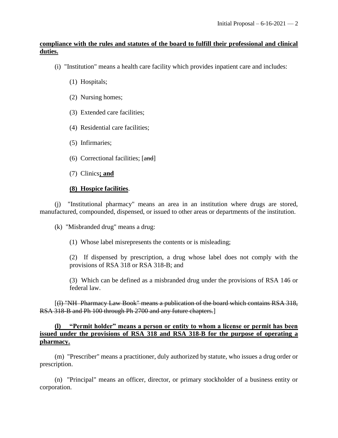# **compliance with the rules and statutes of the board to fulfill their professional and clinical duties.**

- (i) "Institution" means a health care facility which provides inpatient care and includes:
	- (1) Hospitals;
	- (2) Nursing homes;
	- (3) Extended care facilities;
	- (4) Residential care facilities;
	- (5) Infirmaries;
	- (6) Correctional facilities; [and]
	- (7) Clinics**; and**

# **(8) Hospice facilities**.

(j) "Institutional pharmacy" means an area in an institution where drugs are stored, manufactured, compounded, dispensed, or issued to other areas or departments of the institution.

(k) "Misbranded drug" means a drug:

(1) Whose label misrepresents the contents or is misleading;

(2) If dispensed by prescription, a drug whose label does not comply with the provisions of RSA 318 or RSA 318-B; and

(3) Which can be defined as a misbranded drug under the provisions of RSA 146 or federal law.

[(l) "NH Pharmacy Law Book" means a publication of the board which contains RSA 318, RSA 318-B and Ph 100 through Ph 2700 and any future chapters.]

### **(l) "Permit holder" means a person or entity to whom a license or permit has been issued under the provisions of RSA 318 and RSA 318-B for the purpose of operating a pharmacy.**

(m) "Prescriber" means a practitioner, duly authorized by statute, who issues a drug order or prescription.

(n) "Principal" means an officer, director, or primary stockholder of a business entity or corporation.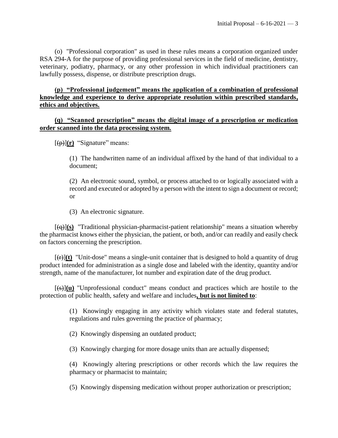(o) "Professional corporation" as used in these rules means a corporation organized under RSA 294-A for the purpose of providing professional services in the field of medicine, dentistry, veterinary, podiatry, pharmacy, or any other profession in which individual practitioners can lawfully possess, dispense, or distribute prescription drugs.

# **(p) "Professional judgement" means the application of a combination of professional knowledge and experience to derive appropriate resolution within prescribed standards, ethics and objectives.**

### **(q) "Scanned prescription" means the digital image of a prescription or medication order scanned into the data processing system.**

 $[(\theta)(\mathbf{r})$  "Signature" means:

(1) The handwritten name of an individual affixed by the hand of that individual to a document;

(2) An electronic sound, symbol, or process attached to or logically associated with a record and executed or adopted by a person with the intent to sign a document or record; or

(3) An electronic signature.

[(q)]**(s)** "Traditional physician-pharmacist-patient relationship" means a situation whereby the pharmacist knows either the physician, the patient, or both, and/or can readily and easily check on factors concerning the prescription.

 $[\overline{f(t)}](t)$  "Unit-dose" means a single-unit container that is designed to hold a quantity of drug product intended for administration as a single dose and labeled with the identity, quantity and/or strength, name of the manufacturer, lot number and expiration date of the drug product.

 $[\frac{1}{(6)}](u)$  "Unprofessional conduct" means conduct and practices which are hostile to the protection of public health, safety and welfare and includes**, but is not limited to**:

> (1) Knowingly engaging in any activity which violates state and federal statutes, regulations and rules governing the practice of pharmacy;

(2) Knowingly dispensing an outdated product;

(3) Knowingly charging for more dosage units than are actually dispensed;

(4) Knowingly altering prescriptions or other records which the law requires the pharmacy or pharmacist to maintain;

(5) Knowingly dispensing medication without proper authorization or prescription;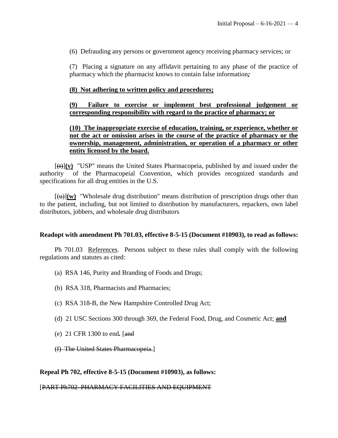(6) Defrauding any persons or government agency receiving pharmacy services; or

(7) Placing a signature on any affidavit pertaining to any phase of the practice of pharmacy which the pharmacist knows to contain false information*;*

#### **(8) Not adhering to written policy and procedures;**

### **(9) Failure to exercise or implement best professional judgement or corresponding responsibility with regard to the practice of pharmacy; or**

### **(10) The inappropriate exercise of education, training, or experience, whether or not the act or omission arises in the course of the practice of pharmacy or the ownership, management, administration, or operation of a pharmacy or other entity licensed by the board.**

[(t)]**(v)** "USP" means the United States Pharmacopeia, published by and issued under the authority of the Pharmacopeial Convention, which provides recognized standards and specifications for all drug entities in the U.S.

 $\left[\frac{u}{v}\right]$  w) "Wholesale drug distribution" means distribution of prescription drugs other than to the patient, including, but not limited to distribution by manufacturers, repackers, own label distributors, jobbers, and wholesale drug distributors

#### **Readopt with amendment Ph 701.03, effective 8-5-15 (Document #10903), to read as follows:**

Ph 701.03 References. Persons subject to these rules shall comply with the following regulations and statutes as cited:

- (a) RSA 146, Purity and Branding of Foods and Drugs;
- (b) RSA 318, Pharmacists and Pharmacies;
- (c) RSA 318-B, the New Hampshire Controlled Drug Act;
- (d) 21 USC Sections 300 through 369, the Federal Food, Drug, and Cosmetic Act; **and**
- (e) 21 CFR 1300 to end*.* [and
- (f) The United States Pharmacopeia.]

#### **Repeal Ph 702, effective 8-5-15 (Document #10903), as follows:**

#### [PART Ph702 PHARMACY FACILITIES AND EQUIPMENT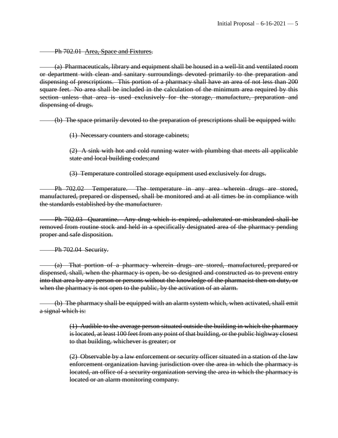Ph 702.01 Area, Space and Fixtures.

(a) Pharmaceuticals, library and equipment shall be housed in a well-lit and ventilated room or department with clean and sanitary surroundings devoted primarily to the preparation and dispensing of prescriptions. This portion of a pharmacy shall have an area of not less than 200 square feet. No area shall be included in the calculation of the minimum area required by this section unless that area is used exclusively for the storage, manufacture, preparation and dispensing of drugs.

(b) The space primarily devoted to the preparation of prescriptions shall be equipped with:

(1) Necessary counters and storage cabinets;

(2) A sink with hot and cold running water with plumbing that meets all applicable state and local building codes;and

(3) Temperature controlled storage equipment used exclusively for drugs.

Ph 702.02 Temperature. The temperature in any area wherein drugs are stored, manufactured, prepared or dispensed, shall be monitored and at all times be in compliance with the standards established by the manufacturer.

Ph 702.03 Quarantine. Any drug which is expired, adulterated or misbranded shall be removed from routine stock and held in a specifically designated area of the pharmacy pending proper and safe disposition.

Ph 702.04 Security.

(a) That portion of a pharmacy wherein drugs are stored, manufactured, prepared or dispensed, shall, when the pharmacy is open, be so designed and constructed as to prevent entry into that area by any person or persons without the knowledge of the pharmacist then on duty, or when the pharmacy is not open to the public, by the activation of an alarm.

(b) The pharmacy shall be equipped with an alarm system which, when activated, shall emit a signal which is:

> (1) Audible to the average person situated outside the building in which the pharmacy is located, at least 100 feet from any point of that building, or the public highway closest to that building, whichever is greater; or

> (2) Observable by a law enforcement or security officer situated in a station of the law enforcement organization having jurisdiction over the area in which the pharmacy is located, an office of a security organization serving the area in which the pharmacy is located or an alarm monitoring company.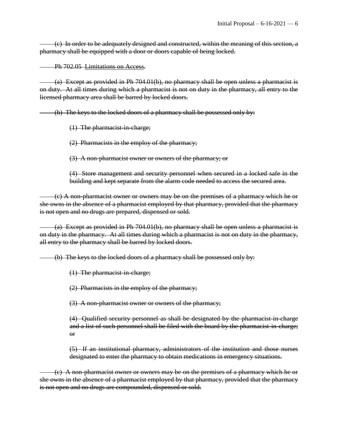(c) In order to be adequately designed and constructed, within the meaning of this section, a pharmacy shall be equipped with a door or doors capable of being locked.

Ph 702.05 Limitations on Access.

(a) Except as provided in Ph 704.01(b), no pharmacy shall be open unless a pharmacist is on duty. At all times during which a pharmacist is not on duty in the pharmacy, all entry to the licensed pharmacy area shall be barred by locked doors.

(b) The keys to the locked doors of a pharmacy shall be possessed only by:

(1) The pharmacist-in-charge;

(2) Pharmacists in the employ of the pharmacy;

(3) A non-pharmacist owner or owners of the pharmacy; or

(4) Store management and security personnel when secured in a locked safe in the building and kept separate from the alarm code needed to access the secured area.

(c) A non-pharmacist owner or owners may be on the premises of a pharmacy which he or she owns in the absence of a pharmacist employed by that pharmacy, provided that the pharmacy is not open and no drugs are prepared, dispensed or sold.

(a) Except as provided in Ph 704.01(b), no pharmacy shall be open unless a pharmacist is on duty in the pharmacy. At all times during which a pharmacist is not on duty in the pharmacy, all entry to the pharmacy shall be barred by locked doors.

(b) The keys to the locked doors of a pharmacy shall be possessed only by:

(1) The pharmacist-in-charge;

(2) Pharmacists in the employ of the pharmacy;

(3) A non-pharmacist owner or owners of the pharmacy;

(4) Qualified security personnel as shall be designated by the pharmacist-in-charge and a list of such personnel shall be filed with the board by the pharmacist-in-charge; or

(5) If an institutional pharmacy, administrators of the institution and those nurses designated to enter the pharmacy to obtain medications in emergency situations.

(c) A non-pharmacist owner or owners may be on the premises of a pharmacy which he or she owns in the absence of a pharmacist employed by that pharmacy, provided that the pharmacy is not open and no drugs are compounded, dispensed or sold.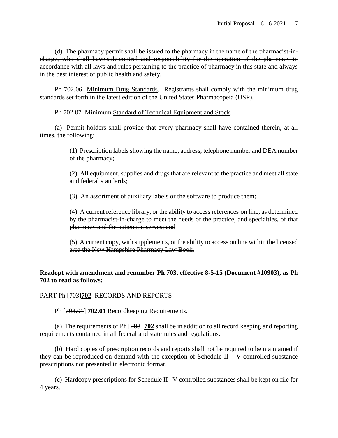(d) The pharmacy permit shall be issued to the pharmacy in the name of the pharmacist-incharge, who shall have sole control and responsibility for the operation of the pharmacy in accordance with all laws and rules pertaining to the practice of pharmacy in this state and always in the best interest of public health and safety.

Ph 702.06 Minimum Drug Standards. Registrants shall comply with the minimum drug standards set forth in the latest edition of the United States Pharmacopeia (USP).

Ph 702.07 Minimum Standard of Technical Equipment and Stock.

(a) Permit holders shall provide that every pharmacy shall have contained therein, at all times, the following:

> (1) Prescription labels showing the name, address, telephone number and DEA number of the pharmacy;

> (2) All equipment, supplies and drugs that are relevant to the practice and meet all state and federal standards;

(3) An assortment of auxiliary labels or the software to produce them;

(4) A current reference library, or the ability to access references on line, as determined by the pharmacist-in-charge to meet the needs of the practice, and specialties, of that pharmacy and the patients it serves; and

(5) A current copy, with supplements, or the ability to access on line within the licensed area the New Hampshire Pharmacy Law Book.

# **Readopt with amendment and renumber Ph 703, effective 8-5-15 (Document #10903), as Ph 702 to read as follows:**

# PART Ph [703]**702** RECORDS AND REPORTS

Ph [703.01] **702.01** Recordkeeping Requirements.

(a) The requirements of Ph [703] **702** shall be in addition to all record keeping and reporting requirements contained in all federal and state rules and regulations.

(b) Hard copies of prescription records and reports shall not be required to be maintained if they can be reproduced on demand with the exception of Schedule II – V controlled substance prescriptions not presented in electronic format.

(c) Hardcopy prescriptions for Schedule II –V controlled substances shall be kept on file for 4 years.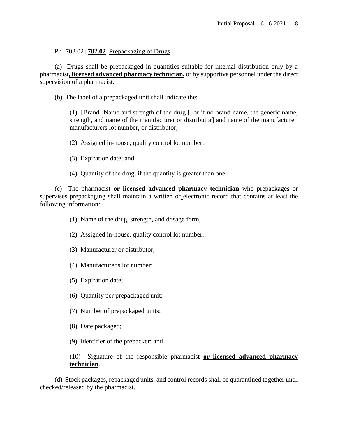### Ph [703.02] **702.02** Prepackaging of Drugs.

(a) Drugs shall be prepackaged in quantities suitable for internal distribution only by a pharmacist**, licensed advanced pharmacy technician,** or by supportive personnel under the direct supervision of a pharmacist.

(b) The label of a prepackaged unit shall indicate the:

(1) [Brand] Name and strength of the drug  $\left[-\text{or if no brand name, the generic name,}\right]$ strength, and name of the manufacturer or distributor] and name of the manufacturer, manufacturers lot number, or distributor;

- (2) Assigned in-house, quality control lot number;
- (3) Expiration date; and
- (4) Quantity of the drug, if the quantity is greater than one.

(c) The pharmacist **or licensed advanced pharmacy technician** who prepackages or supervises prepackaging shall maintain a written or electronic record that contains at least the following information:

- (1) Name of the drug, strength, and dosage form;
- (2) Assigned in-house, quality control lot number;
- (3) Manufacturer or distributor;
- (4) Manufacturer's lot number;
- (5) Expiration date;
- (6) Quantity per prepackaged unit;
- (7) Number of prepackaged units;
- (8) Date packaged;
- (9) Identifier of the prepacker; and

#### (10) Signature of the responsible pharmacist **or licensed advanced pharmacy technician**.

(d) Stock packages, repackaged units, and control records shall be quarantined together until checked/released by the pharmacist.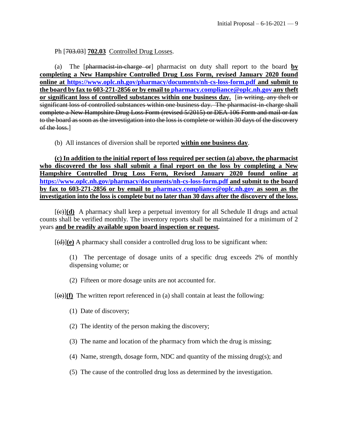### Ph [703.03] **702.03** Controlled Drug Losses.

(a) The [pharmacist-in-charge or] pharmacist on duty shall report to the board **by completing a New Hampshire Controlled Drug Loss Form, revised January 2020 found online at<https://www.oplc.nh.gov/pharmacy/documents/nh-cs-loss-form.pdf> and submit to the board by fax to 603-271-2856 or by email to [pharmacy.compliance@oplc.nh.gov](mailto:pharmacy.compliance@oplc.nh.gov) any theft or significant loss of controlled substances within one business day.** [in writing, any theft or significant loss of controlled substances within one business day. The pharmacist-in-charge shall complete a New Hampshire Drug Loss Form (revised 5/2015) or DEA 106 Form and mail or fax to the board as soon as the investigation into the loss is complete or within 30 days of the discovery of the loss.

(b) All instances of diversion shall be reported **within one business day**.

**(c) In addition to the initial report of loss required per section (a) above, the pharmacist who discovered the loss shall submit a final report on the loss by completing a New Hampshire Controlled Drug Loss Form, Revised January 2020 found online at <https://www.oplc.nh.gov/pharmacy/documents/nh-cs-loss-form.pdf> and submit to the board by fax to 603-271-2856 or by email to [pharmacy.compliance@oplc.nh.gov](mailto:pharmacy.compliance@oplc.nh.gov) as soon as the investigation into the loss is complete but no later than 30 days after the discovery of the loss**.

 $[\Theta]$ (d) A pharmacy shall keep a perpetual inventory for all Schedule II drugs and actual counts shall be verified monthly. The inventory reports shall be maintained for a minimum of 2 years **and be readily available upon board inspection or request***.*

 $[\frac{d}{d}](e)$  A pharmacy shall consider a controlled drug loss to be significant when:

(1) The percentage of dosage units of a specific drug exceeds 2% of monthly dispensing volume; or

(2) Fifteen or more dosage units are not accounted for.

 $[\Theta]$ (f) The written report referenced in (a) shall contain at least the following:

- (1) Date of discovery;
- (2) The identity of the person making the discovery;
- (3) The name and location of the pharmacy from which the drug is missing;
- (4) Name, strength, dosage form, NDC and quantity of the missing drug(s); and
- (5) The cause of the controlled drug loss as determined by the investigation.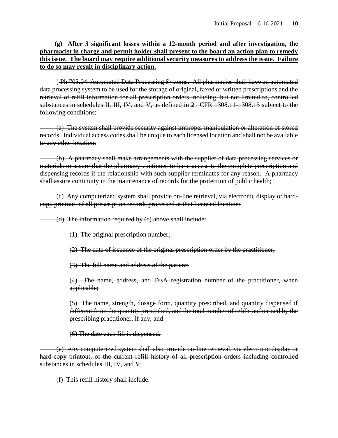### **(g) After 3 significant losses within a 12-month period and after investigation, the pharmacist in charge and permit holder shall present to the board an action plan to remedy this issue. The board may require additional security measures to address the issue. Failure to do so may result in disciplinary action.**

[ Ph 703.04 Automated Data Processing Systems. All pharmacies shall have an automated data processing system to be used for the storage of original, faxed or written prescriptions and the retrieval of refill information for all prescription orders including, but not limited to, controlled substances in schedules II, III, IV, and V, as defined in 21 CFR 1308.11-1308.15 subject to the following conditions:

(a) The system shall provide security against improper manipulation or alteration of stored records. Individual access codes shall be unique to each licensed location and shall not be available to any other location;

(b) A pharmacy shall make arrangements with the supplier of data processing services or materials to assure that the pharmacy continues to have access to the complete prescription and dispensing records if the relationship with such supplier terminates for any reason. A pharmacy shall assure continuity in the maintenance of records for the protection of public health;

(c) Any computerized system shall provide on-line retrieval, via electronic display or hardcopy printout, of all prescription records processed at that licensed location;

(d) The information required by (c) above shall include:

(1) The original prescription number;

(2) The date of issuance of the original prescription order by the practitioner;

(3) The full name and address of the patient;

(4) The name, address, and DEA registration number of the practitioner, when applicable;

(5) The name, strength, dosage form, quantity prescribed, and quantity dispensed if different from the quantity prescribed, and the total number of refills authorized by the prescribing practitioner, if any; and

(6) The date each fill is dispensed.

(e) Any computerized system shall also provide on-line retrieval, via electronic display or hard-copy printout, of the current refill history of all prescription orders including controlled substances in schedules III, IV, and V;

(f) This refill history shall include: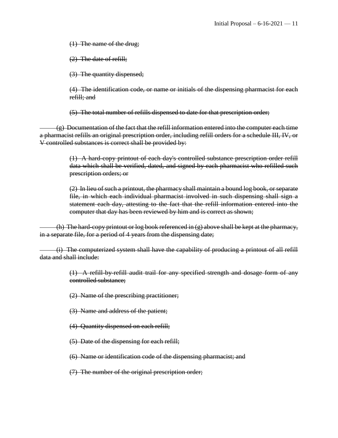(1) The name of the drug;

(2) The date of refill;

(3) The quantity dispensed;

(4) The identification code, or name or initials of the dispensing pharmacist for each refill; and

(5) The total number of refills dispensed to date for that prescription order;

 $(g)$  Documentation of the fact that the refill information entered into the computer each time a pharmacist refills an original prescription order, including refill orders for a schedule III, IV, or V controlled substances is correct shall be provided by:

> (1) A hard-copy printout of each day's controlled substance prescription order refill data which shall be verified, dated, and signed by each pharmacist who refilled such prescription orders; or

> (2) In lieu of such a printout, the pharmacy shall maintain a bound log book, or separate file, in which each individual pharmacist involved in such dispensing shall sign a statement each day, attesting to the fact that the refill information entered into the computer that day has been reviewed by him and is correct as shown;

(h) The hard-copy printout or log book referenced in  $(g)$  above shall be kept at the pharmacy, in a separate file, for a period of 4 years from the dispensing date;

(i) The computerized system shall have the capability of producing a printout of all refill data and shall include:

> (1) A refill-by-refill audit trail for any specified strength and dosage form of any controlled substance;

(2) Name of the prescribing practitioner;

- (3) Name and address of the patient;
- (4) Quantity dispensed on each refill;
- (5) Date of the dispensing for each refill;
- (6) Name or identification code of the dispensing pharmacist; and

(7) The number of the original prescription order;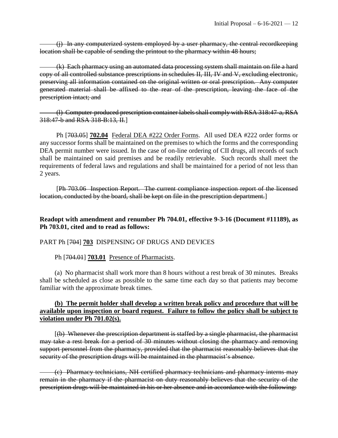(j) In any computerized system employed by a user pharmacy, the central recordkeeping location shall be capable of sending the printout to the pharmacy within 48 hours;

(k) Each pharmacy using an automated data processing system shall maintain on file a hard copy of all controlled substance prescriptions in schedules II, III, IV and V, excluding electronic, preserving all information contained on the original written or oral prescription. Any computer generated material shall be affixed to the rear of the prescription, leaving the face of the prescription intact; and

(l) Computer-produced prescription container labels shall comply with RSA 318:47-a, RSA 318:47-b and RSA 318-B:13, II.]

 Ph [703.05] **702.04** Federal DEA #222 Order Forms. All used DEA #222 order forms or any successor forms shall be maintained on the premises to which the forms and the corresponding DEA permit number were issued. In the case of on-line ordering of CII drugs, all records of such shall be maintained on said premises and be readily retrievable. Such records shall meet the requirements of federal laws and regulations and shall be maintained for a period of not less than 2 years.

[Ph 703.06 Inspection Report. The current compliance inspection report of the licensed location, conducted by the board, shall be kept on file in the prescription department.

### **Readopt with amendment and renumber Ph 704.01, effective 9-3-16 (Document #11189), as Ph 703.01, cited and to read as follows:**

#### PART Ph [704] **703** DISPENSING OF DRUGS AND DEVICES

#### Ph [704.01] **703.01** Presence of Pharmacists.

(a) No pharmacist shall work more than 8 hours without a rest break of 30 minutes. Breaks shall be scheduled as close as possible to the same time each day so that patients may become familiar with the approximate break times.

### **(b) The permit holder shall develop a written break policy and procedure that will be available upon inspection or board request. Failure to follow the policy shall be subject to violation under Ph 701.02(s).**

[(b) Whenever the prescription department is staffed by a single pharmacist, the pharmacist may take a rest break for a period of 30 minutes without closing the pharmacy and removing support personnel from the pharmacy, provided that the pharmacist reasonably believes that the security of the prescription drugs will be maintained in the pharmacist's absence.

(c) Pharmacy technicians, NH certified pharmacy technicians and pharmacy interns may remain in the pharmacy if the pharmacist on duty reasonably believes that the security of the prescription drugs will be maintained in his or her absence and in accordance with the following: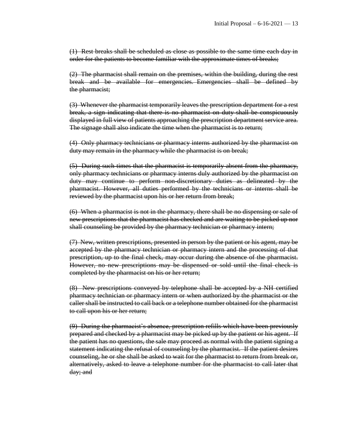(1) Rest breaks shall be scheduled as close as possible to the same time each day in order for the patients to become familiar with the approximate times of breaks;

(2) The pharmacist shall remain on the premises, within the building, during the rest break and be available for emergencies. Emergencies shall be defined by the pharmacist;

(3) Whenever the pharmacist temporarily leaves the prescription department for a rest break, a sign indicating that there is no pharmacist on duty shall be conspicuously displayed in full view of patients approaching the prescription department service area. The signage shall also indicate the time when the pharmacist is to return;

(4) Only pharmacy technicians or pharmacy interns authorized by the pharmacist on duty may remain in the pharmacy while the pharmacist is on break;

(5) During such times that the pharmacist is temporarily absent from the pharmacy, only pharmacy technicians or pharmacy interns duly authorized by the pharmacist on duty may continue to perform non-discretionary duties as delineated by the pharmacist. However, all duties performed by the technicians or interns shall be reviewed by the pharmacist upon his or her return from break;

(6) When a pharmacist is not in the pharmacy, there shall be no dispensing or sale of new prescriptions that the pharmacist has checked and are waiting to be picked up nor shall counseling be provided by the pharmacy technician or pharmacy intern;

(7) New, written prescriptions, presented in person by the patient or his agent, may be accepted by the pharmacy technician or pharmacy intern and the processing of that prescription, up to the final check, may occur during the absence of the pharmacist. However, no new prescriptions may be dispensed or sold until the final check is completed by the pharmacist on his or her return;

(8) New prescriptions conveyed by telephone shall be accepted by a NH certified pharmacy technician or pharmacy intern or when authorized by the pharmacist or the caller shall be instructed to call back or a telephone number obtained for the pharmacist to call upon his or her return;

(9) During the pharmacist's absence, prescription refills which have been previously prepared and checked by a pharmacist may be picked up by the patient or his agent. If the patient has no questions, the sale may proceed as normal with the patient signing a statement indicating the refusal of counseling by the pharmacist. If the patient desires counseling, he or she shall be asked to wait for the pharmacist to return from break or, alternatively, asked to leave a telephone number for the pharmacist to call later that day; and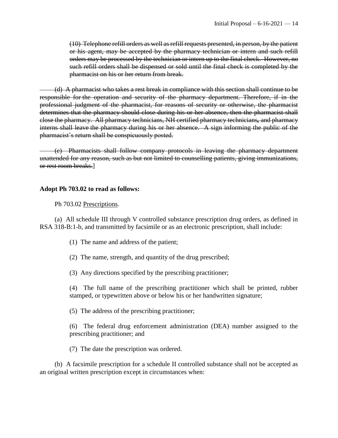(10) Telephone refill orders as well as refill requests presented, in person, by the patient or his agent, may be accepted by the pharmacy technician or intern and such refill orders may be processed by the technician or intern up to the final check. However, no such refill orders shall be dispensed or sold until the final check is completed by the pharmacist on his or her return from break.

(d) A pharmacist who takes a rest break in compliance with this section shall continue to be responsible for the operation and security of the pharmacy department. Therefore, if in the professional judgment of the pharmacist, for reasons of security or otherwise, the pharmacist determines that the pharmacy should close during his or her absence, then the pharmacist shall close the pharmacy. All pharmacy technicians, NH certified pharmacy technicians*,* and pharmacy interns shall leave the pharmacy during his or her absence. A sign informing the public of the pharmacist's return shall be conspicuously posted.

(e) Pharmacists shall follow company protocols in leaving the pharmacy department unattended for any reason, such as but not limited to counselling patients, giving immunizations, or rest room breaks.]

#### **Adopt Ph 703.02 to read as follows:**

Ph 703.02 Prescriptions.

(a) All schedule III through V controlled substance prescription drug orders, as defined in RSA 318-B:1-b, and transmitted by facsimile or as an electronic prescription, shall include:

- (1) The name and address of the patient;
- (2) The name, strength, and quantity of the drug prescribed;
- (3) Any directions specified by the prescribing practitioner;

(4) The full name of the prescribing practitioner which shall be printed, rubber stamped, or typewritten above or below his or her handwritten signature;

- (5) The address of the prescribing practitioner;
- (6) The federal drug enforcement administration (DEA) number assigned to the prescribing practitioner; and
- (7) The date the prescription was ordered.

(b) A facsimile prescription for a schedule II controlled substance shall not be accepted as an original written prescription except in circumstances when: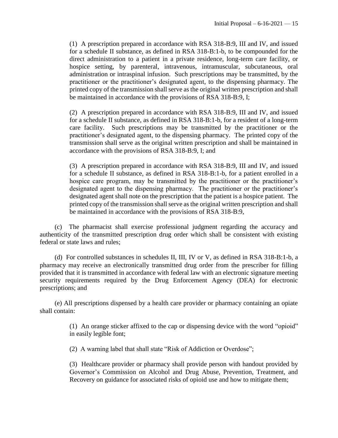(1) A prescription prepared in accordance with RSA 318-B:9, III and IV, and issued for a schedule II substance, as defined in RSA 318-B:1-b, to be compounded for the direct administration to a patient in a private residence, long-term care facility, or hospice setting, by parenteral, intravenous, intramuscular, subcutaneous, oral administration or intraspinal infusion. Such prescriptions may be transmitted, by the practitioner or the practitioner's designated agent, to the dispensing pharmacy. The printed copy of the transmission shall serve as the original written prescription and shall be maintained in accordance with the provisions of RSA 318-B:9, I;

(2) A prescription prepared in accordance with RSA 318-B:9, III and IV, and issued for a schedule II substance, as defined in RSA 318-B:1-b, for a resident of a long-term care facility. Such prescriptions may be transmitted by the practitioner or the practitioner's designated agent, to the dispensing pharmacy. The printed copy of the transmission shall serve as the original written prescription and shall be maintained in accordance with the provisions of RSA 318-B:9, I; and

(3) A prescription prepared in accordance with RSA 318-B:9, III and IV, and issued for a schedule II substance, as defined in RSA 318-B:1-b, for a patient enrolled in a hospice care program, may be transmitted by the practitioner or the practitioner's designated agent to the dispensing pharmacy. The practitioner or the practitioner's designated agent shall note on the prescription that the patient is a hospice patient. The printed copy of the transmission shall serve as the original written prescription and shall be maintained in accordance with the provisions of RSA 318-B:9,

(c) The pharmacist shall exercise professional judgment regarding the accuracy and authenticity of the transmitted prescription drug order which shall be consistent with existing federal or state laws and rules;

(d) For controlled substances in schedules II, III, IV or V, as defined in RSA 318-B:1-b, a pharmacy may receive an electronically transmitted drug order from the prescriber for filling provided that it is transmitted in accordance with federal law with an electronic signature meeting security requirements required by the Drug Enforcement Agency (DEA) for electronic prescriptions; and

(e) All prescriptions dispensed by a health care provider or pharmacy containing an opiate shall contain:

> (1) An orange sticker affixed to the cap or dispensing device with the word "opioid" in easily legible font;

(2) A warning label that shall state "Risk of Addiction or Overdose";

(3) Healthcare provider or pharmacy shall provide person with handout provided by Governor's Commission on Alcohol and Drug Abuse, Prevention, Treatment, and Recovery on guidance for associated risks of opioid use and how to mitigate them;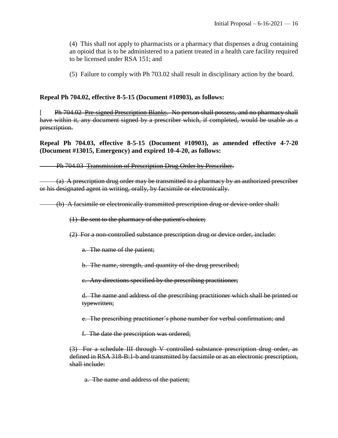(4) This shall not apply to pharmacists or a pharmacy that dispenses a drug containing an opioid that is to be administered to a patient treated in a health care facility required to be licensed under RSA 151; and

(5) Failure to comply with Ph 703.02 shall result in disciplinary action by the board.

#### **Repeal Ph 704.02, effective 8-5-15 (Document #10903), as follows:**

Ph 704.02 Pre-signed Prescription Blanks. No person shall possess, and no pharmacy shall have within it, any document signed by a prescriber which, if completed, would be usable as a prescription.

**Repeal Ph 704.03, effective 8-5-15 (Document #10903), as amended effective 4-7-20 (Document #13015, Emergency) and expired 10-4-20, as follows:**

Ph 704.03 Transmission of Prescription Drug Order by Prescriber.

(a) A prescription drug order may be transmitted to a pharmacy by an authorized prescriber or his designated agent in writing, orally, by facsimile or electronically.

(b) A facsimile or electronically transmitted prescription drug or device order shall:

(1) Be sent to the pharmacy of the patient's choice;

(2) For a non-controlled substance prescription drug or device order, include:

a. The name of the patient;

b. The name, strength, and quantity of the drug prescribed;

c. Any directions specified by the prescribing practitioner;

d. The name and address of the prescribing practitioner which shall be printed or typewritten;

e. The prescribing practitioner's phone number for verbal confirmation; and

f. The date the prescription was ordered;

(3) For a schedule III through V controlled substance prescription drug order, as defined in RSA 318-B:1-b and transmitted by facsimile or as an electronic prescription, shall include:

a. The name and address of the patient;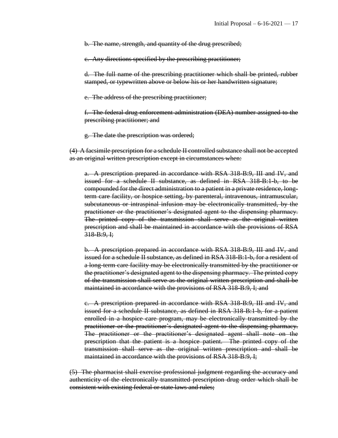b. The name, strength, and quantity of the drug prescribed;

c. Any directions specified by the prescribing practitioner;

d. The full name of the prescribing practitioner which shall be printed, rubber stamped, or typewritten above or below his or her handwritten signature;

e. The address of the prescribing practitioner;

f. The federal drug enforcement administration (DEA) number assigned to the prescribing practitioner; and

g. The date the prescription was ordered;

(4) A facsimile prescription for a schedule II controlled substance shall not be accepted as an original written prescription except in circumstances when:

a. A prescription prepared in accordance with RSA 318-B:9, III and IV, and issued for a schedule II substance, as defined in RSA 318-B:1-b, to be compounded for the direct administration to a patient in a private residence, longterm care facility, or hospice setting, by parenteral, intravenous, intramuscular, subcutaneous or intraspinal infusion may be electronically transmitted, by the practitioner or the practitioner's designated agent to the dispensing pharmacy. The printed copy of the transmission shall serve as the original written prescription and shall be maintained in accordance with the provisions of RSA  $318 - B:9, \frac{1}{2}$ 

b. A prescription prepared in accordance with RSA 318-B:9, III and IV, and issued for a schedule II substance, as defined in RSA 318-B:1-b, for a resident of a long-term care facility may be electronically transmitted by the practitioner or the practitioner's designated agent to the dispensing pharmacy. The printed copy of the transmission shall serve as the original written prescription and shall be maintained in accordance with the provisions of RSA 318-B:9, I; and

c. A prescription prepared in accordance with RSA 318-B:9, III and IV, and issued for a schedule II substance, as defined in RSA 318-B:1-b, for a patient enrolled in a hospice care program, may be electronically transmitted by the practitioner or the practitioner's designated agent to the dispensing pharmacy. The practitioner or the practitioner's designated agent shall note on the prescription that the patient is a hospice patient. The printed copy of the transmission shall serve as the original written prescription and shall be maintained in accordance with the provisions of RSA 318-B:9, I;

(5) The pharmacist shall exercise professional judgment regarding the accuracy and authenticity of the electronically transmitted prescription drug order which shall be consistent with existing federal or state laws and rules;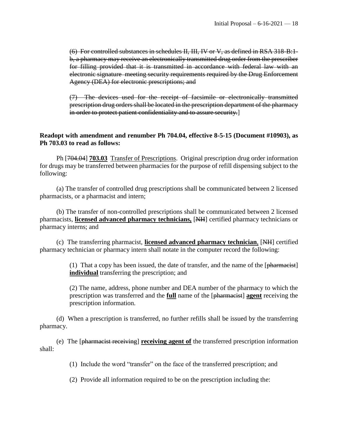(6) For controlled substances in schedules II, III, IV or V, as defined in RSA 318-B:1 b, a pharmacy may receive an electronically transmitted drug order from the prescriber for filling provided that it is transmitted in accordance with federal law with an electronic signature meeting security requirements required by the Drug Enforcement Agency (DEA) for electronic prescriptions; and

(7) The devices used for the receipt of facsimile or electronically transmitted prescription drug orders shall be located in the prescription department of the pharmacy in order to protect patient confidentiality and to assure security.]

#### **Readopt with amendment and renumber Ph 704.04, effective 8-5-15 (Document #10903), as Ph 703.03 to read as follows:**

Ph [704.04] **703.03**Transfer of Prescriptions. Original prescription drug order information for drugs may be transferred between pharmacies for the purpose of refill dispensing subject to the following:

(a) The transfer of controlled drug prescriptions shall be communicated between 2 licensed pharmacists, or a pharmacist and intern;

(b) The transfer of non-controlled prescriptions shall be communicated between 2 licensed pharmacists, **licensed advanced pharmacy technicians,** [NH] certified pharmacy technicians or pharmacy interns; and

(c) The transferring pharmacist, **licensed advanced pharmacy technician**, [NH] certified pharmacy technician or pharmacy intern shall notate in the computer record the following:

> (1) That a copy has been issued, the date of transfer, and the name of the  $\lceil \frac{\text{pharmacist}}{\text{pharmacist}} \rceil$ **individual** transferring the prescription; and

> (2) The name, address, phone number and DEA number of the pharmacy to which the prescription was transferred and the **full** name of the [pharmacist] **agent** receiving the prescription information.

(d) When a prescription is transferred, no further refills shall be issued by the transferring pharmacy.

(e) The [pharmacist receiving] **receiving agent of** the transferred prescription information shall:

(1) Include the word "transfer" on the face of the transferred prescription; and

(2) Provide all information required to be on the prescription including the: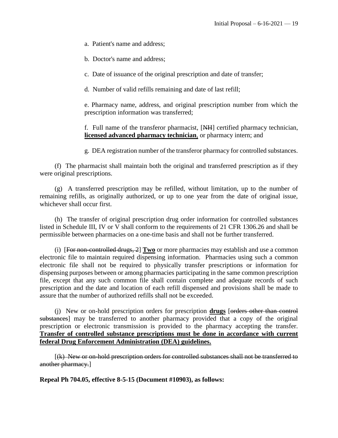a. Patient's name and address;

b. Doctor's name and address;

c. Date of issuance of the original prescription and date of transfer;

d. Number of valid refills remaining and date of last refill;

e. Pharmacy name, address, and original prescription number from which the prescription information was transferred;

f. Full name of the transferor pharmacist, [NH] certified pharmacy technician, **licensed advanced pharmacy technician**, or pharmacy intern; and

g. DEA registration number of the transferor pharmacy for controlled substances.

(f) The pharmacist shall maintain both the original and transferred prescription as if they were original prescriptions.

(g) A transferred prescription may be refilled, without limitation, up to the number of remaining refills, as originally authorized, or up to one year from the date of original issue, whichever shall occur first.

(h) The transfer of original prescription drug order information for controlled substances listed in Schedule III, IV or V shall conform to the requirements of 21 CFR 1306.26 and shall be permissible between pharmacies on a one-time basis and shall not be further transferred.

(i) [For non-controlled drugs, 2] **Two** or more pharmacies may establish and use a common electronic file to maintain required dispensing information. Pharmacies using such a common electronic file shall not be required to physically transfer prescriptions or information for dispensing purposes between or among pharmacies participating in the same common prescription file, except that any such common file shall contain complete and adequate records of such prescription and the date and location of each refill dispensed and provisions shall be made to assure that the number of authorized refills shall not be exceeded.

(j) New or on-hold prescription orders for prescription **drugs** [orders other than control substances] may be transferred to another pharmacy provided that a copy of the original prescription or electronic transmission is provided to the pharmacy accepting the transfer. **Transfer of controlled substance prescriptions must be done in accordance with current federal Drug Enforcement Administration (DEA) guidelines.**

[(k) New or on-hold prescription orders for controlled substances shall not be transferred to another pharmacy.]

**Repeal Ph 704.05, effective 8-5-15 (Document #10903), as follows:**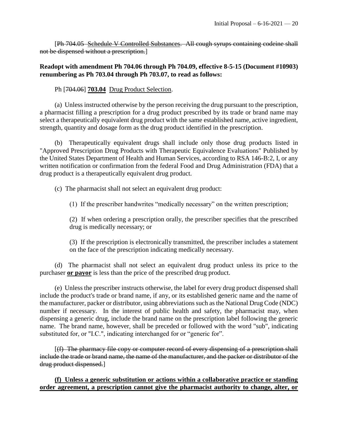[Ph 704.05 Schedule V Controlled Substances. All cough syrups containing codeine shall not be dispensed without a prescription.]

# **Readopt with amendment Ph 704.06 through Ph 704.09, effective 8-5-15 (Document #10903) renumbering as Ph 703.04 through Ph 703.07, to read as follows:**

### Ph [704.06] **703.04** Drug Product Selection.

(a) Unless instructed otherwise by the person receiving the drug pursuant to the prescription, a pharmacist filling a prescription for a drug product prescribed by its trade or brand name may select a therapeutically equivalent drug product with the same established name, active ingredient, strength, quantity and dosage form as the drug product identified in the prescription.

(b) Therapeutically equivalent drugs shall include only those drug products listed in "Approved Prescription Drug Products with Therapeutic Equivalence Evaluations" Published by the United States Department of Health and Human Services, according to RSA 146-B:2, I, or any written notification or confirmation from the federal Food and Drug Administration (FDA) that a drug product is a therapeutically equivalent drug product.

(c) The pharmacist shall not select an equivalent drug product:

(1) If the prescriber handwrites "medically necessary" on the written prescription;

(2) If when ordering a prescription orally, the prescriber specifies that the prescribed drug is medically necessary; or

(3) If the prescription is electronically transmitted, the prescriber includes a statement on the face of the prescription indicating medically necessary.

(d) The pharmacist shall not select an equivalent drug product unless its price to the purchaser **or payor** is less than the price of the prescribed drug product.

(e) Unless the prescriber instructs otherwise, the label for every drug product dispensed shall include the product's trade or brand name, if any, or its established generic name and the name of the manufacturer, packer or distributor, using abbreviations such as the National Drug Code (NDC) number if necessary. In the interest of public health and safety, the pharmacist may, when dispensing a generic drug, include the brand name on the prescription label following the generic name. The brand name, however, shall be preceded or followed with the word "sub", indicating substituted for, or "I.C.", indicating interchanged for or "generic for".

[(f) The pharmacy file copy or computer record of every dispensing of a prescription shall include the trade or brand name, the name of the manufacturer, and the packer or distributor of the drug product dispensed.]

**(f) Unless a generic substitution or actions within a collaborative practice or standing order agreement, a prescription cannot give the pharmacist authority to change, alter, or**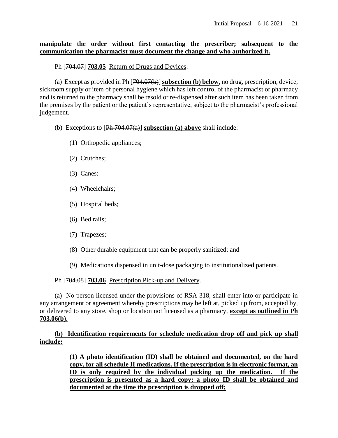### **manipulate the order without first contacting the prescriber; subsequent to the communication the pharmacist must document the change and who authorized it.**

### Ph [704.07] **703.05** Return of Drugs and Devices.

(a) Except as provided in Ph [704.07(b)] **subsection (b) below**, no drug, prescription, device, sickroom supply or item of personal hygiene which has left control of the pharmacist or pharmacy and is returned to the pharmacy shall be resold or re-dispensed after such item has been taken from the premises by the patient or the patient's representative, subject to the pharmacist's professional judgement.

(b) Exceptions to [Ph 704.07(a)] **subsection (a) above** shall include:

- (1) Orthopedic appliances;
- (2) Crutches;
- (3) Canes;
- (4) Wheelchairs;
- (5) Hospital beds;
- (6) Bed rails;
- (7) Trapezes;
- (8) Other durable equipment that can be properly sanitized; and
- (9) Medications dispensed in unit-dose packaging to institutionalized patients.

Ph [704.08] **703.06** Prescription Pick-up and Delivery.

(a) No person licensed under the provisions of RSA 318, shall enter into or participate in any arrangement or agreement whereby prescriptions may be left at, picked up from, accepted by, or delivered to any store, shop or location not licensed as a pharmacy, **except as outlined in Ph 703.06(b).**

**(b) Identification requirements for schedule medication drop off and pick up shall include:**

> **(1) A photo identification (ID) shall be obtained and documented, on the hard copy, for all schedule II medications. If the prescription is in electronic format, an ID is only required by the individual picking up the medication. If the prescription is presented as a hard copy; a photo ID shall be obtained and documented at the time the prescription is dropped off;**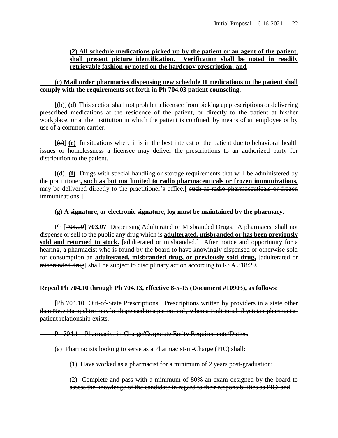### **(2) All schedule medications picked up by the patient or an agent of the patient, shall present picture identification. Verification shall be noted in readily retrievable fashion or noted on the hardcopy prescription; and**

#### **(c) Mail order pharmacies dispensing new schedule II medications to the patient shall comply with the requirements set forth in Ph 704.03 patient counseling.**

[(b)] **(d)** This section shall not prohibit a licensee from picking up prescriptions or delivering prescribed medications at the residence of the patient, or directly to the patient at his/her workplace, or at the institution in which the patient is confined, by means of an employee or by use of a common carrier.

 $[\text{e}]$  (e) In situations where it is in the best interest of the patient due to behavioral health issues or homelessness a licensee may deliver the prescriptions to an authorized party for distribution to the patient.

[(d)] **(f)** Drugs with special handling or storage requirements that will be administered by the practitioner**, such as but not limited to radio pharmaceuticals or frozen immunizations,** may be delivered directly to the practitioner's office*.*[ such as radio pharmaceuticals or frozen immunizations.]

### **(g) A signature, or electronic signature, log must be maintained by the pharmacy.**

Ph [704.09] **703.07** Dispensing Adulterated or Misbranded Drugs. A pharmacist shall not dispense or sell to the public any drug which is **adulterated, misbranded or has been previously**  sold and returned to stock. [adulterated or misbranded.] After notice and opportunity for a hearing, a pharmacist who is found by the board to have knowingly dispensed or otherwise sold for consumption an **adulterated, misbranded drug, or previously sold drug,** [adulterated or misbranded drug] shall be subject to disciplinary action according to RSA 318:29.

#### **Repeal Ph 704.10 through Ph 704.13, effective 8-5-15 (Document #10903), as follows:**

[Ph 704.10 Out-of-State Prescriptions. Prescriptions written by providers in a state other than New Hampshire may be dispensed to a patient only when a traditional physician-pharmacistpatient relationship exists.

Ph 704.11 Pharmacist-in-Charge**/**Corporate Entity Requirements/Duties.

(a) Pharmacists looking to serve as a Pharmacist-in-Charge (PIC) shall:

(1) Have worked as a pharmacist for a minimum of 2 years post-graduation;

(2) Complete and pass with a minimum of 80% an exam designed by the board to assess the knowledge of the candidate in regard to their responsibilities as PIC; and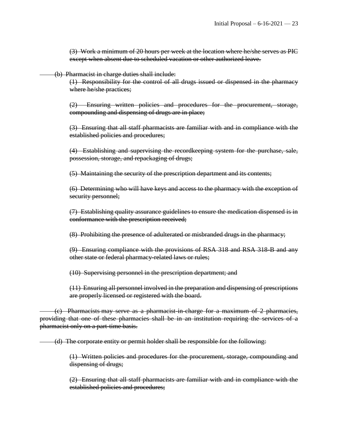(3) Work a minimum of 20 hours per week at the location where he/she serves as PIC except when absent due to scheduled vacation or other authorized leave.

(b) Pharmacist in charge duties shall include:

(1) Responsibility for the control of all drugs issued or dispensed in the pharmacy where he/she practices;

(2) Ensuring written policies and procedures for the procurement, storage, compounding and dispensing of drugs are in place;

(3) Ensuring that all staff pharmacists are familiar with and in compliance with the established policies and procedures;

(4) Establishing and supervising the recordkeeping system for the purchase, sale, possession, storage, and repackaging of drugs;

(5) Maintaining the security of the prescription department and its contents;

(6) Determining who will have keys and access to the pharmacy with the exception of security personnel;

(7) Establishing quality assurance guidelines to ensure the medication dispensed is in conformance with the prescription received;

(8) Prohibiting the presence of adulterated or misbranded drugs in the pharmacy;

(9) Ensuring compliance with the provisions of RSA 318 and RSA 318-B and any other state or federal pharmacy-related laws or rules;

(10) Supervising personnel in the prescription department; and

(11) Ensuring all personnel involved in the preparation and dispensing of prescriptions are properly licensed or registered with the board.

(c) Pharmacists may serve as a pharmacist-in-charge for a maximum of 2 pharmacies, providing that one of these pharmacies shall be in an institution requiring the services of a pharmacist only on a part-time basis.

(d) The corporate entity or permit holder shall be responsible for the following:

(1) Written policies and procedures for the procurement, storage, compounding and dispensing of drugs;

(2) Ensuring that all staff pharmacists are familiar with and in compliance with the established policies and procedures;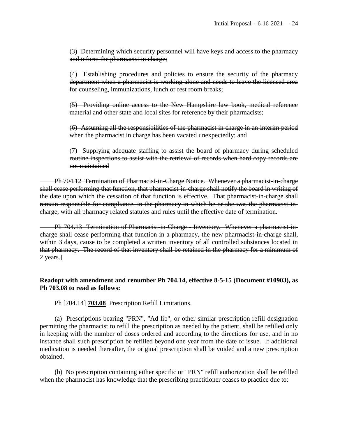(3) Determining which security personnel will have keys and access to the pharmacy and inform the pharmacist in charge;

(4) Establishing procedures and policies to ensure the security of the pharmacy department when a pharmacist is working alone and needs to leave the licensed area for counseling, immunizations, lunch or rest room breaks;

(5) Providing online access to the New Hampshire law book, medical reference material and other state and local sites for reference by their pharmacists;

(6) Assuming all the responsibilities of the pharmacist in charge in an interim period when the pharmacist in charge has been vacated unexpectedly; and

(7) Supplying adequate staffing to assist the board of pharmacy during scheduled routine inspections to assist with the retrieval of records when hard copy records are not maintained

Ph 704.12 Termination of Pharmacist-in-Charge Notice. Whenever a pharmacist-in-charge shall cease performing that function, that pharmacist-in-charge shall notify the board in writing of the date upon which the cessation of that function is effective. That pharmacist-in-charge shall remain responsible for compliance, in the pharmacy in which he or she was the pharmacist-incharge, with all pharmacy related statutes and rules until the effective date of termination.

Ph 704.13 Termination of Pharmacist-in-Charge - Inventory. Whenever a pharmacist-incharge shall cease performing that function in a pharmacy, the new pharmacist in charge shall, within 3 days, cause to be completed a written inventory of all controlled substances located in that pharmacy. The record of that inventory shall be retained in the pharmacy for a minimum of 2 years.]

# **Readopt with amendment and renumber Ph 704.14, effective 8-5-15 (Document #10903), as Ph 703.08 to read as follows:**

Ph [704.14] **703.08** Prescription Refill Limitations.

(a) Prescriptions bearing "PRN", "Ad lib", or other similar prescription refill designation permitting the pharmacist to refill the prescription as needed by the patient, shall be refilled only in keeping with the number of doses ordered and according to the directions for use, and in no instance shall such prescription be refilled beyond one year from the date of issue. If additional medication is needed thereafter, the original prescription shall be voided and a new prescription obtained.

(b) No prescription containing either specific or "PRN" refill authorization shall be refilled when the pharmacist has knowledge that the prescribing practitioner ceases to practice due to: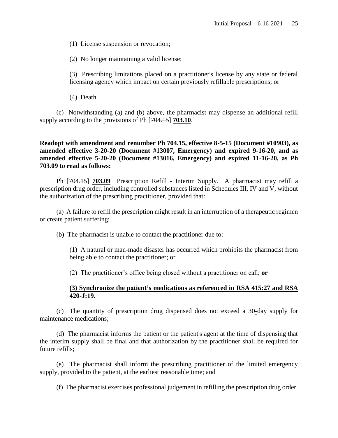(1) License suspension or revocation;

(2) No longer maintaining a valid license;

(3) Prescribing limitations placed on a practitioner's license by any state or federal licensing agency which impact on certain previously refillable prescriptions; or

(4) Death.

(c) Notwithstanding (a) and (b) above, the pharmacist may dispense an additional refill supply according to the provisions of Ph [704.15] **703.10**.

**Readopt with amendment and renumber Ph 704.15, effective 8-5-15 (Document #10903), as amended effective 3-20-20 (Document #13007, Emergency) and expired 9-16-20, and as amended effective 5-20-20 (Document #13016, Emergency) and expired 11-16-20, as Ph 703.09 to read as follows:**

Ph [704.15] **703.09** Prescription Refill - Interim Supply. A pharmacist may refill a prescription drug order, including controlled substances listed in Schedules III, IV and V, without the authorization of the prescribing practitioner, provided that:

(a) A failure to refill the prescription might result in an interruption of a therapeutic regimen or create patient suffering;

(b) The pharmacist is unable to contact the practitioner due to:

(1) A natural or man-made disaster has occurred which prohibits the pharmacist from being able to contact the practitioner; or

(2) The practitioner's office being closed without a practitioner on call; **or**

#### **(3) Synchronize the patient's medications as referenced in RSA 415:27 and RSA 420-J:19.**

(c) The quantity of prescription drug dispensed does not exceed a 30**-**day supply for maintenance medications;

(d) The pharmacist informs the patient or the patient's agent at the time of dispensing that the interim supply shall be final and that authorization by the practitioner shall be required for future refills;

(e) The pharmacist shall inform the prescribing practitioner of the limited emergency supply, provided to the patient, at the earliest reasonable time; and

(f) The pharmacist exercises professional judgement in refilling the prescription drug order.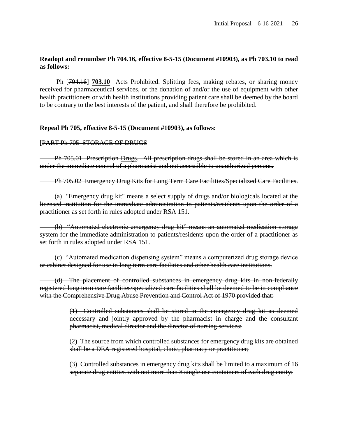# **Readopt and renumber Ph 704.16, effective 8-5-15 (Document #10903), as Ph 703.10 to read as follows:**

Ph [704.16] **703.10** Acts Prohibited. Splitting fees, making rebates, or sharing money received for pharmaceutical services, or the donation of and/or the use of equipment with other health practitioners or with health institutions providing patient care shall be deemed by the board to be contrary to the best interests of the patient, and shall therefore be prohibited.

### **Repeal Ph 705, effective 8-5-15 (Document #10903), as follows:**

#### [PART Ph 705 STORAGE OF DRUGS

Ph 705.01 Prescription Drugs. All prescription drugs shall be stored in an area which is under the immediate control of a pharmacist and not accessible to unauthorized persons.

Ph 705.02 Emergency Drug Kits for Long Term Care Facilities/Specialized Care Facilities.

(a) "Emergency drug kit" means a select supply of drugs and/or biologicals located at the licensed institution for the immediate administration to patients/residents upon the order of a practitioner as set forth in rules adopted under RSA 151.

(b) "Automated electronic emergency drug kit" means an automated medication storage system for the immediate administration to patients/residents upon the order of a practitioner as set forth in rules adopted under RSA 151.

(c) "Automated medication dispensing system" means a computerized drug storage device or cabinet designed for use in long term care facilities and other health care institutions.

(d) The placement of controlled substances in emergency drug kits in non-federally registered long term care facilities/specialized care facilities shall be deemed to be in compliance with the Comprehensive Drug Abuse Prevention and Control Act of 1970 provided that:

> (1) Controlled substances shall be stored in the emergency drug kit as deemed necessary and jointly approved by the pharmacist in charge and the consultant pharmacist, medical director and the director of nursing services;

> (2) The source from which controlled substances for emergency drug kits are obtained shall be a DEA registered hospital, clinic, pharmacy or practitioner;

> (3) Controlled substances in emergency drug kits shall be limited to a maximum of 16 separate drug entities with not more than 8 single use containers of each drug entity;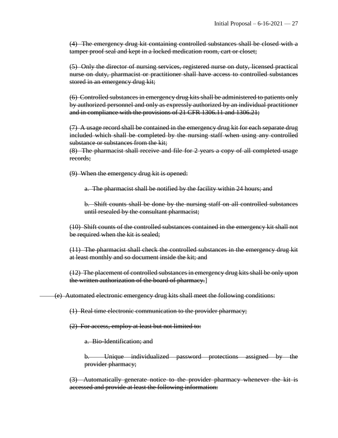(4) The emergency drug kit containing controlled substances shall be closed with a tamper proof seal and kept in a locked medication room, cart or closet;

(5) Only the director of nursing services, registered nurse on duty, licensed practical nurse on duty, pharmacist or practitioner shall have access to controlled substances stored in an emergency drug kit;

(6) Controlled substances in emergency drug kits shall be administered to patients only by authorized personnel and only as expressly authorized by an individual practitioner and in compliance with the provisions of 21 CFR 1306.11 and 1306.21;

 $(7)$  A usage record shall be contained in the emergency drug kit for each separate drug included which shall be completed by the nursing staff when using any controlled substance or substances from the kit;

(8) The pharmacist shall receive and file for 2 years a copy of all completed usage records;

(9) When the emergency drug kit is opened:

a. The pharmacist shall be notified by the facility within 24 hours; and

b. Shift counts shall be done by the nursing staff on all controlled substances until resealed by the consultant pharmacist;

(10) Shift counts of the controlled substances contained in the emergency kit shall not be required when the kit is sealed;

(11) The pharmacist shall check the controlled substances in the emergency drug kit at least monthly and so document inside the kit; and

(12) The placement of controlled substances in emergency drug kits shall be only upon the written authorization of the board of pharmacy.]

(e) Automated electronic emergency drug kits shall meet the following conditions:

(1) Real time electronic communication to the provider pharmacy;

(2) For access, employ at least but not limited to:

a. Bio-Identification; and

b. Unique individualized password protections assigned by the provider pharmacy;

(3) Automatically generate notice to the provider pharmacy whenever the kit is accessed and provide at least the following information: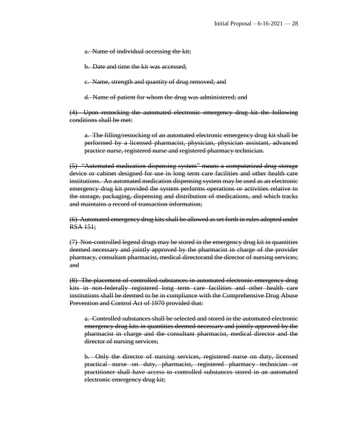a. Name of individual accessing the kit;

b. Date and time the kit was accessed;

c. Name, strength and quantity of drug removed; and

d. Name of patient for whom the drug was administered; and

(4) Upon restocking the automated electronic emergency drug kit the following conditions shall be met:

a. The filling/restocking of an automated electronic emergency drug kit shall be performed by a licensed pharmacist, physician, physician assistant, advanced practice nurse, registered nurse and registered pharmacy technician.

(5) "Automated medication dispensing system" means a computerized drug storage device or cabinet designed for use in long term care facilities and other health care institutions. An automated medication dispensing system may be used as an electronic emergency drug kit provided the system performs operations or activities relative to the storage, packaging, dispensing and distribution of medications, and which tracks and maintains a record of transaction information;

(6) Automated emergency drug kits shall be allowed as set forth in rules adopted under RSA 151;

(7) Non-controlled legend drugs may be stored in the emergency drug kit in quantities deemed necessary and jointly approved by the pharmacist in charge of the provider pharmacy, consultant pharmacist, medical directorand the director of nursing services; and

(8) The placement of controlled substances in automated electronic emergency drug kits in non-federally registered long term care facilities and other health care institutions shall be deemed to be in compliance with the Comprehensive Drug Abuse Prevention and Control Act of 1970 provided that:

a. Controlled substances shall be selected and stored in the automated electronic emergency drug kits in quantities deemed necessary and jointly approved by the pharmacist in charge and the consultant pharmacist, medical director and the director of nursing services;

b. Only the director of nursing services, registered nurse on duty, licensed practical nurse on duty, pharmacist, registered pharmacy technician or practitioner shall have access to controlled substances stored in an automated electronic emergency drug kit;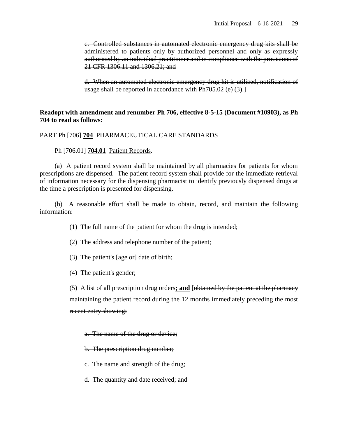c. Controlled substances in automated electronic emergency drug kits shall be administered to patients only by authorized personnel and only as expressly authorized by an individual practitioner and in compliance with the provisions of 21 CFR 1306.11 and 1306.21; and

d. When an automated electronic emergency drug kit is utilized, notification of usage shall be reported in accordance with Ph705.02 (e) (3).

#### **Readopt with amendment and renumber Ph 706, effective 8-5-15 (Document #10903), as Ph 704 to read as follows:**

#### PART Ph [706] **704** PHARMACEUTICAL CARE STANDARDS

#### Ph [706.01] **704.01** Patient Records.

(a) A patient record system shall be maintained by all pharmacies for patients for whom prescriptions are dispensed. The patient record system shall provide for the immediate retrieval of information necessary for the dispensing pharmacist to identify previously dispensed drugs at the time a prescription is presented for dispensing.

(b) A reasonable effort shall be made to obtain, record, and maintain the following information:

(1) The full name of the patient for whom the drug is intended;

(2) The address and telephone number of the patient;

(3) The patient's  $[age\ or]$  date of birth;

(4) The patient's gender;

(5) A list of all prescription drug orders**; and** [obtained by the patient at the pharmacy maintaining the patient record during the 12 months immediately preceding the most recent entry showing:

a. The name of the drug or device;

b. The prescription drug number;

c. The name and strength of the drug;

d. The quantity and date received; and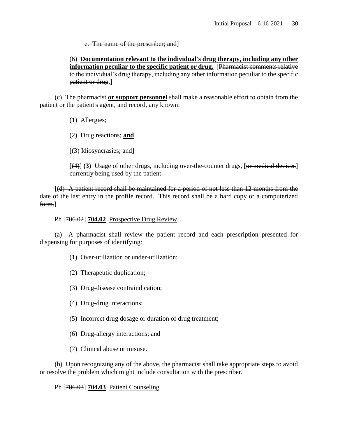e. The name of the prescriber; and]

(6) **Documentation relevant to the individual's drug therapy, including any other information peculiar to the specific patient or drug.** [Pharmacist comments relative to the individual's drug therapy, including any other information peculiar to the specific patient or drug.]

(c) The pharmacist **or support personnel** shall make a reasonable effort to obtain from the patient or the patient's agent, and record, any known:

(1) Allergies;

(2) Drug reactions; **and**

[(3) Idiosyncrasies; and]

[(4)] **(3)** Usage of other drugs, including over-the-counter drugs, [or medical devices] currently being used by the patient.

[(d) A patient record shall be maintained for a period of not less than 12 months from the date of the last entry in the profile record. This record shall be a hard copy or a computerized form.]

Ph [706.02] **704.02** Prospective Drug Review.

(a) A pharmacist shall review the patient record and each prescription presented for dispensing for purposes of identifying:

(1) Over-utilization or under-utilization;

(2) Therapeutic duplication;

(3) Drug-disease contraindication;

(4) Drug-drug interactions;

(5) Incorrect drug dosage or duration of drug treatment;

(6) Drug-allergy interactions; and

(7) Clinical abuse or misuse.

(b) Upon recognizing any of the above, the pharmacist shall take appropriate steps to avoid or resolve the problem which might include consultation with the prescriber.

Ph [706.03] **704.03** Patient Counseling.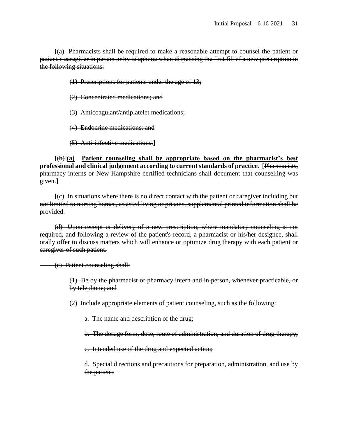[(a) Pharmacists shall be required to make a reasonable attempt to counsel the patient or patient's caregiver in person or by telephone when dispensing the first fill of a new prescription in the following situations:

(1) Prescriptions for patients under the age of 13;

- (2) Concentrated medications; and
- (3) Anticoagulant/antiplatelet medications;
- (4) Endocrine medications; and
- (5) Anti-infective medications.]

[(b)]**(a) Patient counseling shall be appropriate based on the pharmacist's best professional and clinical judgement according to current standards of practice**. [Pharmacists, pharmacy interns or New Hampshire certified technicians shall document that counselling was given.]

[(c) In situations where there is no direct contact with the patient or caregiver including but not limited to nursing homes, assisted living or prisons, supplemental printed information shall be provided.

(d) Upon receipt or delivery of a new prescription, where mandatory counseling is not required, and following a review of the patient's record, a pharmacist or his/her designee, shall orally offer to discuss matters which will enhance or optimize drug therapy with each patient or caregiver of such patient.

(e) Patient counseling shall:

(1) Be by the pharmacist or pharmacy intern and in person, whenever practicable, or by telephone; and

(2) Include appropriate elements of patient counseling, such as the following:

a. The name and description of the drug;

b. The dosage form, dose, route of administration, and duration of drug therapy;

c. Intended use of the drug and expected action;

d. Special directions and precautions for preparation, administration, and use by the patient;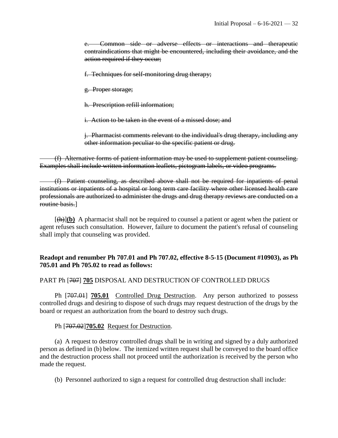e. Common side or adverse effects or interactions and therapeutic contraindications that might be encountered, including their avoidance, and the action required if they occur;

f. Techniques for self-monitoring drug therapy;

g. Proper storage;

h. Prescription refill information;

i. Action to be taken in the event of a missed dose; and

j. Pharmacist comments relevant to the individual's drug therapy, including any other information peculiar to the specific patient or drug.

(f) Alternative forms of patient information may be used to supplement patient counseling. Examples shall include written information leaflets, pictogram labels, or video programs.

(f) Patient counseling, as described above shall not be required for inpatients of penal institutions or inpatients of a hospital or long term care facility where other licensed health care professionals are authorized to administer the drugs and drug therapy reviews are conducted on a routine basis.]

 $[\frac{h}{\theta}]$  (b) A pharmacist shall not be required to counsel a patient or agent when the patient or agent refuses such consultation. However, failure to document the patient's refusal of counseling shall imply that counseling was provided.

# **Readopt and renumber Ph 707.01 and Ph 707.02, effective 8-5-15 (Document #10903), as Ph 705.01 and Ph 705.02 to read as follows:**

#### PART Ph [707] **705** DISPOSAL AND DESTRUCTION OF CONTROLLED DRUGS

Ph [707.01] **705.01** Controlled Drug Destruction. Any person authorized to possess controlled drugs and desiring to dispose of such drugs may request destruction of the drugs by the board or request an authorization from the board to destroy such drugs.

Ph [707.02]**705.02** Request for Destruction.

(a) A request to destroy controlled drugs shall be in writing and signed by a duly authorized person as defined in (b) below. The itemized written request shall be conveyed to the board office and the destruction process shall not proceed until the authorization is received by the person who made the request.

(b) Personnel authorized to sign a request for controlled drug destruction shall include: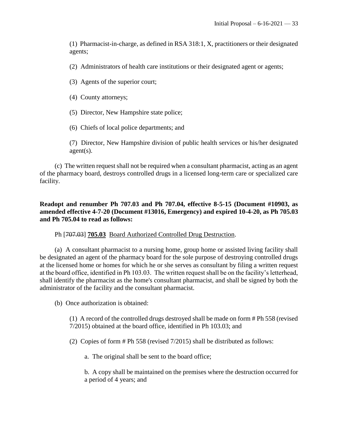(1) Pharmacist-in-charge, as defined in RSA 318:1, X, practitioners or their designated agents;

(2) Administrators of health care institutions or their designated agent or agents;

(3) Agents of the superior court;

(4) County attorneys;

(5) Director, New Hampshire state police;

(6) Chiefs of local police departments; and

(7) Director, New Hampshire division of public health services or his/her designated agent(s).

(c) The written request shall not be required when a consultant pharmacist, acting as an agent of the pharmacy board, destroys controlled drugs in a licensed long-term care or specialized care facility.

### **Readopt and renumber Ph 707.03 and Ph 707.04, effective 8-5-15 (Document #10903, as amended effective 4-7-20 (Document #13016, Emergency) and expired 10-4-20, as Ph 705.03 and Ph 705.04 to read as follows:**

Ph [707.03] **705.03** Board Authorized Controlled Drug Destruction.

(a) A consultant pharmacist to a nursing home, group home or assisted living facility shall be designated an agent of the pharmacy board for the sole purpose of destroying controlled drugs at the licensed home or homes for which he or she serves as consultant by filing a written request at the board office, identified in Ph 103.03. The written request shall be on the facility's letterhead, shall identify the pharmacist as the home's consultant pharmacist, and shall be signed by both the administrator of the facility and the consultant pharmacist.

(b) Once authorization is obtained:

(1) A record of the controlled drugs destroyed shall be made on form # Ph 558 (revised 7/2015) obtained at the board office, identified in Ph 103.03; and

(2) Copies of form # Ph 558 (revised 7/2015) shall be distributed as follows:

a. The original shall be sent to the board office;

b. A copy shall be maintained on the premises where the destruction occurred for a period of 4 years; and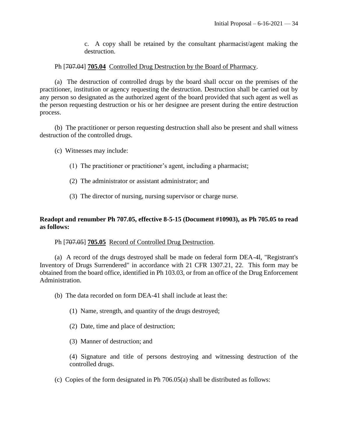c. A copy shall be retained by the consultant pharmacist/agent making the destruction.

#### Ph [707.04] **705.04** Controlled Drug Destruction by the Board of Pharmacy.

(a) The destruction of controlled drugs by the board shall occur on the premises of the practitioner, institution or agency requesting the destruction. Destruction shall be carried out by any person so designated as the authorized agent of the board provided that such agent as well as the person requesting destruction or his or her designee are present during the entire destruction process.

(b) The practitioner or person requesting destruction shall also be present and shall witness destruction of the controlled drugs.

- (c) Witnesses may include:
	- (1) The practitioner or practitioner's agent, including a pharmacist;
	- (2) The administrator or assistant administrator; and
	- (3) The director of nursing, nursing supervisor or charge nurse.

### **Readopt and renumber Ph 707.05, effective 8-5-15 (Document #10903), as Ph 705.05 to read as follows:**

#### Ph [707.05] **705.05** Record of Controlled Drug Destruction.

(a) A record of the drugs destroyed shall be made on federal form DEA-4l, "Registrant's Inventory of Drugs Surrendered" in accordance with 21 CFR 1307.21, 22. This form may be obtained from the board office, identified in Ph 103.03, or from an office of the Drug Enforcement Administration.

- (b) The data recorded on form DEA-41 shall include at least the:
	- (1) Name, strength, and quantity of the drugs destroyed;
	- (2) Date, time and place of destruction;
	- (3) Manner of destruction; and

(4) Signature and title of persons destroying and witnessing destruction of the controlled drugs.

(c) Copies of the form designated in Ph 706.05(a) shall be distributed as follows: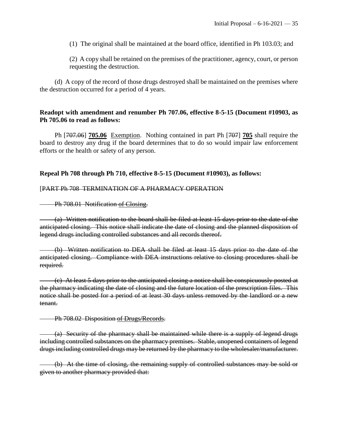(1) The original shall be maintained at the board office, identified in Ph 103.03; and

(2) A copy shall be retained on the premises of the practitioner, agency, court, or person requesting the destruction.

(d) A copy of the record of those drugs destroyed shall be maintained on the premises where the destruction occurred for a period of 4 years.

#### **Readopt with amendment and renumber Ph 707.06, effective 8-5-15 (Document #10903, as Ph 705.06 to read as follows:**

Ph [707.06] **705.06** Exemption. Nothing contained in part Ph [707] **705** shall require the board to destroy any drug if the board determines that to do so would impair law enforcement efforts or the health or safety of any person.

### **Repeal Ph 708 through Ph 710, effective 8-5-15 (Document #10903), as follows:**

#### [PART Ph 708 TERMINATION OF A PHARMACY OPERATION

Ph 708.01 Notification of Closing.

(a) Written notification to the board shall be filed at least 15 days prior to the date of the anticipated closing. This notice shall indicate the date of closing and the planned disposition of legend drugs including controlled substances and all records thereof.

(b) Written notification to DEA shall be filed at least 15 days prior to the date of the anticipated closing. Compliance with DEA instructions relative to closing procedures shall be required.

(c) At least 5 days prior to the anticipated closing a notice shall be conspicuously posted at the pharmacy indicating the date of closing and the future location of the prescription files. This notice shall be posted for a period of at least 30 days unless removed by the landlord or a new tenant.

Ph 708.02 Disposition of Drugs/Records.

(a) Security of the pharmacy shall be maintained while there is a supply of legend drugs including controlled substances on the pharmacy premises. Stable, unopened containers of legend drugs including controlled drugs may be returned by the pharmacy to the wholesaler/manufacturer.

(b) At the time of closing, the remaining supply of controlled substances may be sold or given to another pharmacy provided that: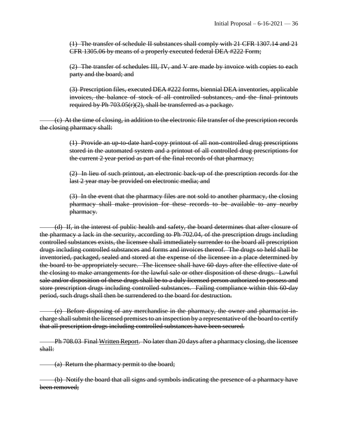(1) The transfer of schedule II substances shall comply with 21 CFR 1307.14 and 21 CFR 1305.06 by means of a properly executed federal DEA #222 Form;

(2) The transfer of schedules III, IV, and V are made by invoice with copies to each party and the board; and

(3) Prescription files, executed DEA #222 forms, biennial DEA inventories, applicable invoices, the balance of stock of all controlled substances, and the final printouts required by Ph  $703.05(r)(2)$ , shall be transferred as a package.

(c) At the time of closing, in addition to the electronic file transfer of the prescription records the closing pharmacy shall:

> (1) Provide an up-to-date hard-copy printout of all non-controlled drug prescriptions stored in the automated system and a printout of all controlled drug prescriptions for the current 2 year period as part of the final records of that pharmacy;

> (2) In lieu of such printout, an electronic back-up of the prescription records for the last 2 year may be provided on electronic media; and

> (3) In the event that the pharmacy files are not sold to another pharmacy, the closing pharmacy shall make provision for these records to be available to any nearby pharmacy.

(d) If, in the interest of public health and safety, the board determines that after closure of the pharmacy a lack in the security, according to Ph 702.04, of the prescription drugs including controlled substances exists, the licensee shall immediately surrender to the board all prescription drugs including controlled substances and forms and invoices thereof. The drugs so held shall be inventoried, packaged, sealed and stored at the expense of the licensee in a place determined by the board to be appropriately secure. The licensee shall have 60 days after the effective date of the closing to make arrangements for the lawful sale or other disposition of these drugs. Lawful sale and/or disposition of these drugs shall be to a duly licensed person authorized to possess and store prescription drugs including controlled substances. Failing compliance within this 60-day period, such drugs shall then be surrendered to the board for destruction.

(e) Before disposing of any merchandise in the pharmacy, the owner and pharmacist-incharge shall submit the licensed premises to an inspection by a representative of the board to certify that all prescription drugs including controlled substances have been secured.

Ph 708.03 Final Written Report. No later than 20 days after a pharmacy closing, the licensee shall:

(a) Return the pharmacy permit to the board;

(b) Notify the board that all signs and symbols indicating the presence of a pharmacy have been removed;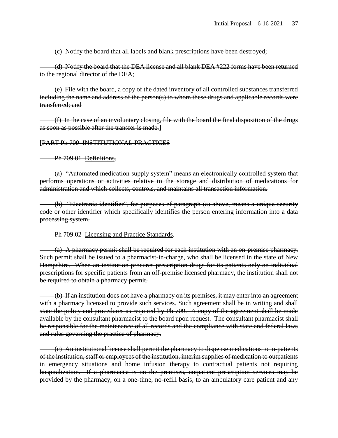(c) Notify the board that all labels and blank prescriptions have been destroyed;

(d) Notify the board that the DEA license and all blank DEA #222 forms have been returned to the regional director of the DEA;

(e) File with the board, a copy of the dated inventory of all controlled substances transferred including the name and address of the person(s) to whom these drugs and applicable records were transferred; and

(f) In the case of an involuntary closing, file with the board the final disposition of the drugs as soon as possible after the transfer is made.]

#### [PART Ph 709 INSTITUTIONAL PRACTICES

Ph 709.01 Definitions.

(a) "Automated medication supply system" means an electronically controlled system that performs operations or activities relative to the storage and distribution of medications for administration and which collects, controls, and maintains all transaction information.

(b) "Electronic identifier", for purposes of paragraph (a) above, means a unique security code or other identifier which specifically identifies the person entering information into a data processing system.

#### Ph 709.02 Licensing and Practice Standards.

(a) A pharmacy permit shall be required for each institution with an on-premise pharmacy. Such permit shall be issued to a pharmacist-in-charge, who shall be licensed in the state of New Hampshire. When an institution procures prescription drugs for its patients only on individual prescriptions for specific patients from an off-premise licensed pharmacy, the institution shall not be required to obtain a pharmacy permit.

(b) If an institution does not have a pharmacy on its premises, it may enter into an agreement with a pharmacy licensed to provide such services. Such agreement shall be in writing and shall state the policy and procedures as required by Ph 709. A copy of the agreement shall be made available by the consultant pharmacist to the board upon request. The consultant pharmacist shall be responsible for the maintenance of all records and the compliance with state and federal laws and rules governing the practice of pharmacy.

(c) An institutional license shall permit the pharmacy to dispense medications to in-patients of the institution, staff or employees of the institution, interim supplies of medication to outpatients in emergency situations and home infusion therapy to contractual patients not requiring hospitalization. If a pharmacist is on the premises, outpatient prescription services may be provided by the pharmacy, on a one-time, no-refill basis, to an ambulatory care patient and any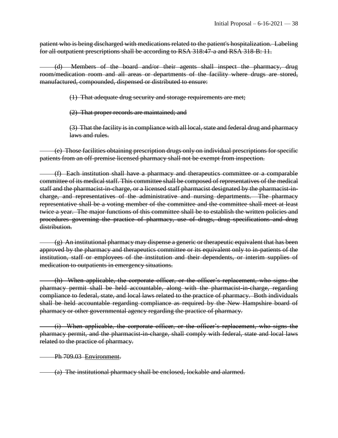patient who is being discharged with medications related to the patient's hospitalization. Labeling for all outpatient prescriptions shall be according to RSA 318:47-a and RSA 318-B: 11.

(d) Members of the board and/or their agents shall inspect the pharmacy, drug room/medication room and all areas or departments of the facility where drugs are stored, manufactured, compounded, dispensed or distributed to ensure:

(1) That adequate drug security and storage requirements are met;

(2) That proper records are maintained; and

(3) That the facility is in compliance with all local, state and federal drug and pharmacy laws and rules.

(e) Those facilities obtaining prescription drugs only on individual prescriptions for specific patients from an off-premise licensed pharmacy shall not be exempt from inspection.

(f) Each institution shall have a pharmacy and therapeutics committee or a comparable committee of its medical staff. This committee shall be composed of representatives of the medical staff and the pharmacist-in-charge, or a licensed staff pharmacist designated by the pharmacist-incharge, and representatives of the administrative and nursing departments. The pharmacy representative shall be a voting member of the committee and the committee shall meet at least twice a year. The major functions of this committee shall be to establish the written policies and procedures governing the practice of pharmacy, use of drugs, drug specifications and drug distribution.

(g) An institutional pharmacy may dispense a generic or therapeutic equivalent that has been approved by the pharmacy and therapeutics committee or its equivalent only to in-patients of the institution, staff or employees of the institution and their dependents, or interim supplies of medication to outpatients in emergency situations.

(h) When applicable, the corporate officer, or the officer's replacement, who signs the pharmacy permit shall be held accountable, along with the pharmacist-in-charge, regarding compliance to federal, state, and local laws related to the practice of pharmacy. Both individuals shall be held accountable regarding compliance as required by the New Hampshire board of pharmacy or other governmental agency regarding the practice of pharmacy.

(i) When applicable, the corporate officer, or the officer's replacement, who signs the pharmacy permit, and the pharmacist-in-charge, shall comply with federal, state and local laws related to the practice of pharmacy.

Ph 709.03 Environment.

(a) The institutional pharmacy shall be enclosed, lockable and alarmed.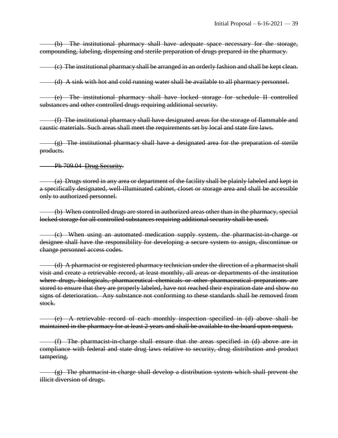(b) The institutional pharmacy shall have adequate space necessary for the storage, compounding, labeling, dispensing and sterile preparation of drugs prepared in the pharmacy.

(c) The institutional pharmacy shall be arranged in an orderly fashion and shall be kept clean.

(d) A sink with hot and cold running water shall be available to all pharmacy personnel.

(e) The institutional pharmacy shall have locked storage for schedule II controlled substances and other controlled drugs requiring additional security.

(f) The institutional pharmacy shall have designated areas for the storage of flammable and caustic materials. Such areas shall meet the requirements set by local and state fire laws.

 $(g)$  The institutional pharmacy shall have a designated area for the preparation of sterile products.

Ph 709.04 Drug Security.

(a) Drugs stored in any area or department of the facility shall be plainly labeled and kept in a specifically designated, well-illuminated cabinet, closet or storage area and shall be accessible only to authorized personnel.

(b) When controlled drugs are stored in authorized areas other than in the pharmacy, special locked storage for all controlled substances requiring additional security shall be used.

(c) When using an automated medication supply system, the pharmacist-in-charge or designee shall have the responsibility for developing a secure system to assign, discontinue or change personnel access codes.

(d) A pharmacist or registered pharmacy technician under the direction of a pharmacist shall visit and create a retrievable record, at least monthly, all areas or departments of the institution where drugs, biologicals, pharmaceutical chemicals or other pharmaceutical preparations are stored to ensure that they are properly labeled, have not reached their expiration date and show no signs of deterioration. Any substance not conforming to these standards shall be removed from stock.

(e) A retrievable record of each monthly inspection specified in (d) above shall be maintained in the pharmacy for at least 2 years and shall be available to the board upon request.

(f) The pharmacist-in-charge shall ensure that the areas specified in (d) above are in compliance with federal and state drug laws relative to security, drug distribution and product tampering.

 $(g)$  The pharmacist-in-charge shall develop a distribution system which shall prevent the illicit diversion of drugs.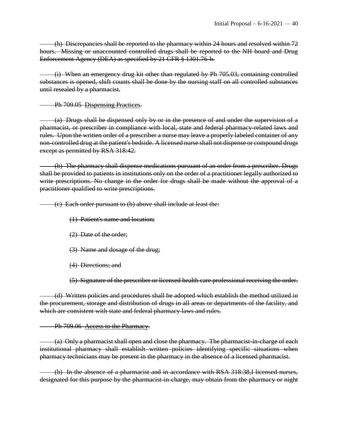(h) Discrepancies shall be reported to the pharmacy within 24 hours and resolved within 72 hours. Missing or unaccounted controlled drugs shall be reported to the NH board and Drug Enforcement Agency (DEA) as specified by 21 CFR § 1301.76-b.

(i) When an emergency drug kit other than regulated by Ph 705.03, containing controlled substances is opened, shift counts shall be done by the nursing staff on all controlled substances until resealed by a pharmacist.

Ph 709.05 Dispensing Practices.

(a) Drugs shall be dispensed only by or in the presence of and under the supervision of a pharmacist, or prescriber in compliance with local, state and federal pharmacy-related laws and rules. Upon the written order of a prescriber a nurse may leave a properly labeled container of any non-controlled drug at the patient's bedside. A licensed nurse shall not dispense or compound drugs except as permitted by RSA 318:42.

(b) The pharmacy shall dispense medications pursuant of an order from a prescriber. Drugs shall be provided to patients in institutions only on the order of a practitioner legally authorized to write prescriptions. No change in the order for drugs shall be made without the approval of a practitioner qualified to write prescriptions.

(c) Each order pursuant to (b) above shall include at least the:

(1) Patient's name and location;

- (2) Date of the order;
- (3) Name and dosage of the drug;
- (4) Directions; and

(5) Signature of the prescriber or licensed health care professional receiving the order.

(d) Written policies and procedures shall be adopted which establish the method utilized in the procurement, storage and distribution of drugs in all areas or departments of the facility, and which are consistent with state and federal pharmacy laws and rules.

Ph 709.06 Access to the Pharmacy.

(a) Only a pharmacist shall open and close the pharmacy. The pharmacist-in-charge of each institutional pharmacy shall establish written policies identifying specific situations when pharmacy technicians may be present in the pharmacy in the absence of a licensed pharmacist.

(b) In the absence of a pharmacist and in accordance with RSA 318:38,I licensed nurses, designated for this purpose by the pharmacist-in-charge, may obtain from the pharmacy or night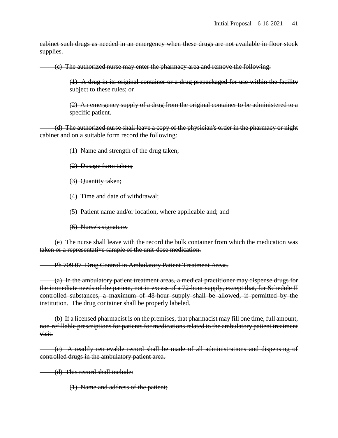cabinet such drugs as needed in an emergency when these drugs are not available in floor stock supplies.

(c) The authorized nurse may enter the pharmacy area and remove the following:

(1) A drug in its original container or a drug prepackaged for use within the facility subject to these rules; or

 $(2)$  An emergency supply of a drug from the original container to be administered to a specific patient.

(d) The authorized nurse shall leave a copy of the physician's order in the pharmacy or night cabinet and on a suitable form record the following:

(1) Name and strength of the drug taken;

(2) Dosage form taken;

(3) Quantity taken;

(4) Time and date of withdrawal;

(5) Patient name and/or location, where applicable and; and

(6) Nurse's signature.

(e) The nurse shall leave with the record the bulk container from which the medication was taken or a representative sample of the unit-dose medication.

#### Ph 709.07 Drug Control in Ambulatory Patient Treatment Areas.

(a) In the ambulatory patient treatment areas, a medical practitioner may dispense drugs for the immediate needs of the patient, not in excess of a 72-hour supply, except that, for Schedule II controlled substances, a maximum of 48-hour supply shall be allowed, if permitted by the institution. The drug container shall be properly labeled.

(b) If a licensed pharmacist is on the premises, that pharmacist may fill one time, full amount, non-refillable prescriptions for patients for medications related to the ambulatory patient treatment visit.

(c) A readily retrievable record shall be made of all administrations and dispensing of controlled drugs in the ambulatory patient area.

(d) This record shall include:

(1) Name and address of the patient;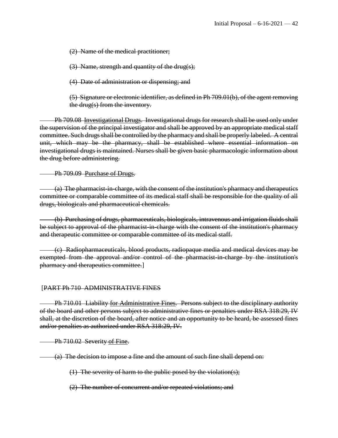(2) Name of the medical practitioner;

(3) Name, strength and quantity of the drug(s);

(4) Date of administration or dispensing; and

(5) Signature or electronic identifier, as defined in Ph 709.01(b), of the agent removing the drug(s) from the inventory.

Ph 709.08 Investigational Drugs. Investigational drugs for research shall be used only under the supervision of the principal investigator and shall be approved by an appropriate medical staff committee. Such drugs shall be controlled by the pharmacy and shall be properly labeled. A central unit, which may be the pharmacy, shall be established where essential information on investigational drugs is maintained. Nurses shall be given basic pharmacologic information about the drug before administering.

Ph 709.09 Purchase of Drugs.

(a) The pharmacist-in-charge, with the consent of the institution's pharmacy and therapeutics committee or comparable committee of its medical staff shall be responsible for the quality of all drugs, biologicals and pharmaceutical chemicals.

(b) Purchasing of drugs, pharmaceuticals, biologicals, intravenous and irrigation fluids shall be subject to approval of the pharmacist-in-charge with the consent of the institution's pharmacy and therapeutic committee or comparable committee of its medical staff.

(c) Radiopharmaceuticals, blood products, radiopaque media and medical devices may be exempted from the approval and/or control of the pharmacist-in-charge by the institution's pharmacy and therapeutics committee.]

# [PART Ph 710 ADMINISTRATIVE FINES

Ph 710.01 Liability for Administrative Fines. Persons subject to the disciplinary authority of the board and other persons subject to administrative fines or penalties under RSA 318:29, IV shall, at the discretion of the board, after notice and an opportunity to be heard, be assessed fines and/or penalties as authorized under RSA 318:29, IV.

Ph 710.02 Severity of Fine.

(a) The decision to impose a fine and the amount of such fine shall depend on:

(1) The severity of harm to the public posed by the violation(s);

(2) The number of concurrent and/or repeated violations; and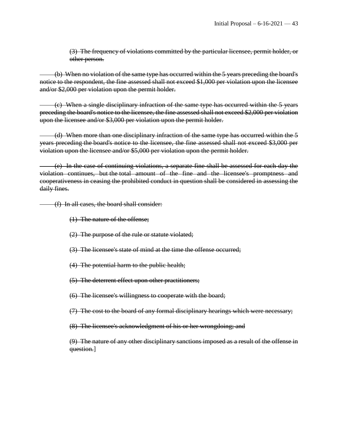(3) The frequency of violations committed by the particular licensee, permit holder, or other person.

(b) When no violation of the same type has occurred within the 5 years preceding the board's notice to the respondent, the fine assessed shall not exceed \$1,000 per violation upon the licensee and/or \$2,000 per violation upon the permit holder.

(c) When a single disciplinary infraction of the same type has occurred within the 5 years preceding the board's notice to the licensee, the fine assessed shall not exceed \$2,000 per violation upon the licensee and/or \$3,000 per violation upon the permit holder.

(d) When more than one disciplinary infraction of the same type has occurred within the 5 years preceding the board's notice to the licensee, the fine assessed shall not exceed \$3,000 per violation upon the licensee and/or \$5,000 per violation upon the permit holder.

(e) In the case of continuing violations, a separate fine shall be assessed for each day the violation continues, but the total amount of the fine and the licensee's promptness and cooperativeness in ceasing the prohibited conduct in question shall be considered in assessing the daily fines.

(f) In all cases, the board shall consider:

- (1) The nature of the offense;
- (2) The purpose of the rule or statute violated;
- (3) The licensee's state of mind at the time the offense occurred;
- (4) The potential harm to the public health;
- (5) The deterrent effect upon other practitioners;
- (6) The licensee's willingness to cooperate with the board;
- (7) The cost to the board of any formal disciplinary hearings which were necessary;
- (8) The licensee's acknowledgment of his or her wrongdoing; and

(9) The nature of any other disciplinary sanctions imposed as a result of the offense in question.]